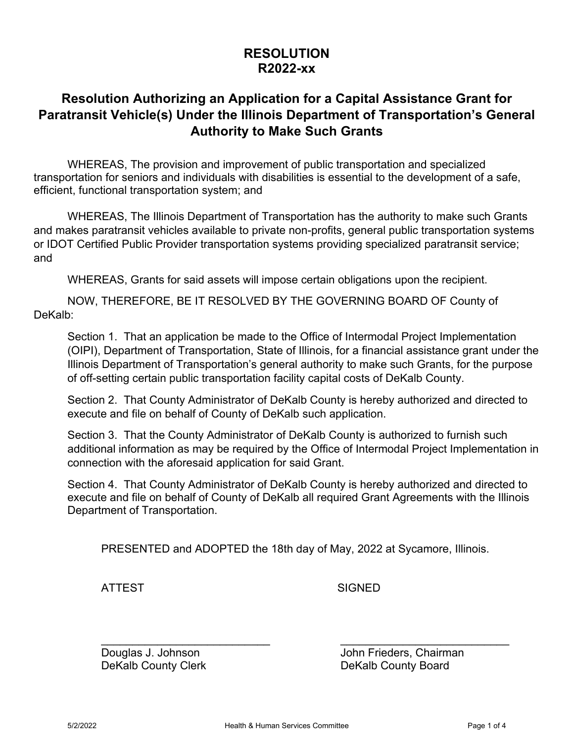## **RESOLUTION R2022-xx**

# **Resolution Authorizing an Application for a Capital Assistance Grant for Paratransit Vehicle(s) Under the Illinois Department of Transportation's General Authority to Make Such Grants**

WHEREAS, The provision and improvement of public transportation and specialized transportation for seniors and individuals with disabilities is essential to the development of a safe, efficient, functional transportation system; and

WHEREAS, The Illinois Department of Transportation has the authority to make such Grants and makes paratransit vehicles available to private non-profits, general public transportation systems or IDOT Certified Public Provider transportation systems providing specialized paratransit service; and

WHEREAS, Grants for said assets will impose certain obligations upon the recipient.

NOW, THEREFORE, BE IT RESOLVED BY THE GOVERNING BOARD OF County of DeKalb:

Section 1. That an application be made to the Office of Intermodal Project Implementation (OIPI), Department of Transportation, State of Illinois, for a financial assistance grant under the Illinois Department of Transportation's general authority to make such Grants, for the purpose of off-setting certain public transportation facility capital costs of DeKalb County.

Section 2. That County Administrator of DeKalb County is hereby authorized and directed to execute and file on behalf of County of DeKalb such application.

Section 3. That the County Administrator of DeKalb County is authorized to furnish such additional information as may be required by the Office of Intermodal Project Implementation in connection with the aforesaid application for said Grant.

Section 4. That County Administrator of DeKalb County is hereby authorized and directed to execute and file on behalf of County of DeKalb all required Grant Agreements with the Illinois Department of Transportation.

PRESENTED and ADOPTED the 18th day of May, 2022 at Sycamore, Illinois.

 $\mathcal{L}_\text{max}$  , and the contract of the contract of the contract of the contract of the contract of the contract of the contract of the contract of the contract of the contract of the contract of the contract of the contr

ATTEST SIGNED

Douglas J. Johnson John Frieders, Chairman DeKalb County Clerk **DeKalb County Board**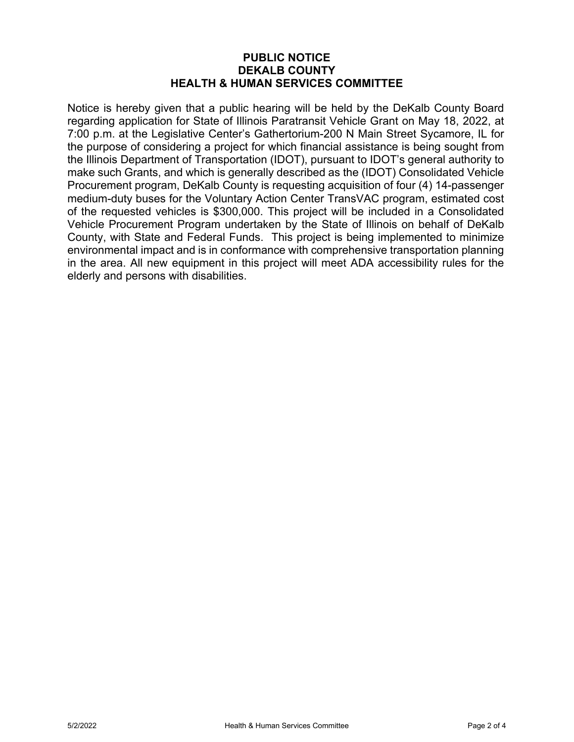### **PUBLIC NOTICE DEKALB COUNTY HEALTH & HUMAN SERVICES COMMITTEE**

Notice is hereby given that a public hearing will be held by the DeKalb County Board regarding application for State of Illinois Paratransit Vehicle Grant on May 18, 2022, at 7:00 p.m. at the Legislative Center's Gathertorium-200 N Main Street Sycamore, IL for the purpose of considering a project for which financial assistance is being sought from the Illinois Department of Transportation (IDOT), pursuant to IDOT's general authority to make such Grants, and which is generally described as the (IDOT) Consolidated Vehicle Procurement program, DeKalb County is requesting acquisition of four (4) 14-passenger medium-duty buses for the Voluntary Action Center TransVAC program, estimated cost of the requested vehicles is \$300,000. This project will be included in a Consolidated Vehicle Procurement Program undertaken by the State of Illinois on behalf of DeKalb County, with State and Federal Funds. This project is being implemented to minimize environmental impact and is in conformance with comprehensive transportation planning in the area. All new equipment in this project will meet ADA accessibility rules for the elderly and persons with disabilities.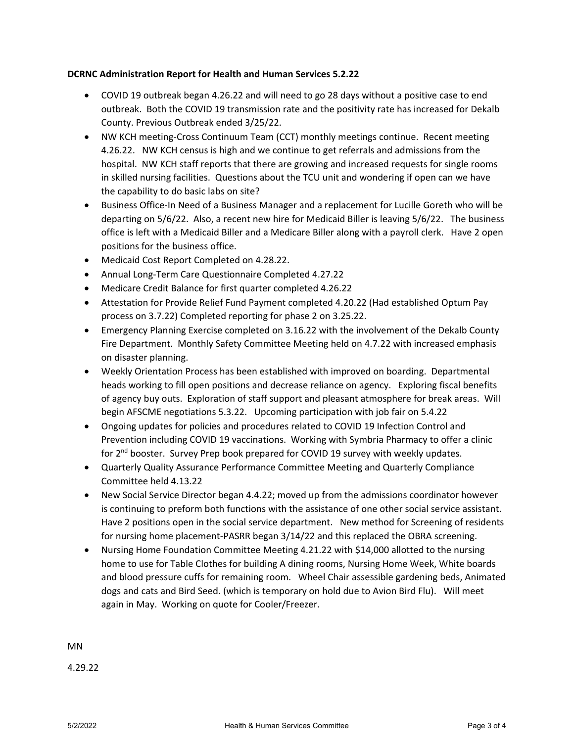#### **DCRNC Administration Report for Health and Human Services 5.2.22**

- COVID 19 outbreak began 4.26.22 and will need to go 28 days without a positive case to end outbreak. Both the COVID 19 transmission rate and the positivity rate has increased for Dekalb County. Previous Outbreak ended 3/25/22.
- NW KCH meeting-Cross Continuum Team (CCT) monthly meetings continue. Recent meeting 4.26.22. NW KCH census is high and we continue to get referrals and admissions from the hospital. NW KCH staff reports that there are growing and increased requests for single rooms in skilled nursing facilities. Questions about the TCU unit and wondering if open can we have the capability to do basic labs on site?
- Business Office-In Need of a Business Manager and a replacement for Lucille Goreth who will be departing on 5/6/22. Also, a recent new hire for Medicaid Biller is leaving 5/6/22. The business office is left with a Medicaid Biller and a Medicare Biller along with a payroll clerk. Have 2 open positions for the business office.
- Medicaid Cost Report Completed on 4.28.22.
- Annual Long-Term Care Questionnaire Completed 4.27.22
- Medicare Credit Balance for first quarter completed 4.26.22
- Attestation for Provide Relief Fund Payment completed 4.20.22 (Had established Optum Pay process on 3.7.22) Completed reporting for phase 2 on 3.25.22.
- Emergency Planning Exercise completed on 3.16.22 with the involvement of the Dekalb County Fire Department. Monthly Safety Committee Meeting held on 4.7.22 with increased emphasis on disaster planning.
- Weekly Orientation Process has been established with improved on boarding. Departmental heads working to fill open positions and decrease reliance on agency. Exploring fiscal benefits of agency buy outs. Exploration of staff support and pleasant atmosphere for break areas. Will begin AFSCME negotiations 5.3.22. Upcoming participation with job fair on 5.4.22
- Ongoing updates for policies and procedures related to COVID 19 Infection Control and Prevention including COVID 19 vaccinations. Working with Symbria Pharmacy to offer a clinic for 2<sup>nd</sup> booster. Survey Prep book prepared for COVID 19 survey with weekly updates.
- Quarterly Quality Assurance Performance Committee Meeting and Quarterly Compliance Committee held 4.13.22
- New Social Service Director began 4.4.22; moved up from the admissions coordinator however is continuing to preform both functions with the assistance of one other social service assistant. Have 2 positions open in the social service department. New method for Screening of residents for nursing home placement‐PASRR began 3/14/22 and this replaced the OBRA screening.
- Nursing Home Foundation Committee Meeting 4.21.22 with \$14,000 allotted to the nursing home to use for Table Clothes for building A dining rooms, Nursing Home Week, White boards and blood pressure cuffs for remaining room. Wheel Chair assessible gardening beds, Animated dogs and cats and Bird Seed. (which is temporary on hold due to Avion Bird Flu). Will meet again in May. Working on quote for Cooler/Freezer.

MN

4.29.22